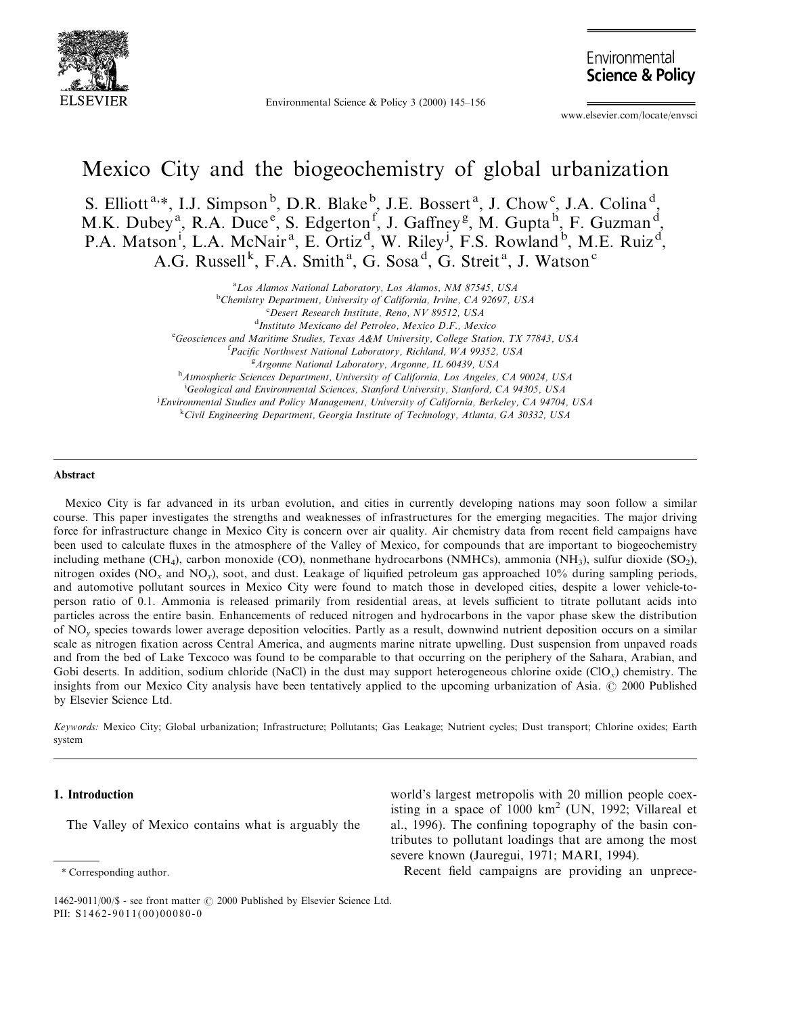

Environmental Science & Policy 3 (2000)  $145-156$ 

Environmental **Science & Policy** 

www.elsevier.com/locate/envsci

# Mexico City and the biogeochemistry of global urbanization

S. Elliott<sup>a,\*</sup>, I.J. Simpson<sup>b</sup>, D.R. Blake<sup>b</sup>, J.E. Bossert<sup>a</sup>, J. Chow<sup>c</sup>, J.A. Colina<sup>d</sup>, M.K. Dubey<sup>a</sup>, R.A. Duce<sup>e</sup>, S. Edgerton<sup>f</sup>, J. Gaffney<sup>g</sup>, M. Gupta<sup>h</sup>, F. Guzman<sup>d</sup>, P.A. Matson<sup>i</sup>, L.A. McNair<sup>a</sup>, E. Ortiz<sup>d</sup>, W. Riley<sup>j</sup>, F.S. Rowland<sup>b</sup>, M.E. Ruiz<sup>d</sup>, A.G. Russell<sup>k</sup>, F.A. Smith<sup>a</sup>, G. Sosa<sup>d</sup>, G. Streit<sup>a</sup>, J. Watson<sup>c</sup>

<sup>a</sup>Los Alamos National Laboratory, Los Alamos, NM 87545, USA

**Chemistry Department, University of California, Irvine, CA 92697, USA**<br>CReseart Besearch Institute, Bane, NV 90512, USA

 $C$ Desert Research Institute, Reno, NV 89512, USA

Instituto Mexicano del Petroleo, Mexico D.F., Mexico

<sup>e</sup> Geosciences and Maritime Studies, Texas A&M University, College Station, TX 77843, USA<br><sup>f</sup> Pacific Northwest National Laboratory, Pickland, WA 00352, USA

<sup>f</sup>Pacific Northwest National Laboratory, Richland, WA 99352, USA

 $A$ rgonne National Laboratory, Argonne, IL 60439, USA

<sup>h</sup>Atmospheric Sciences Department, University of California, Los Angeles, CA 90024, USA

<sup>i</sup>Geological and Environmental Sciences, Stanford University, Stanford, CA 94305, USA

Environmental Studies and Policy Management, University of California, Berkeley, CA 94704, USA<br>KGivil Engineering Dengrtment Georgia Institute of Technology, Atlanta, GA 30332, USA

<sup>k</sup>Civil Engineering Department, Georgia Institute of Technology, Atlanta, GA 30332, USA

#### Abstract

Mexico City is far advanced in its urban evolution, and cities in currently developing nations may soon follow a similar course. This paper investigates the strengths and weaknesses of infrastructures for the emerging megacities. The major driving force for infrastructure change in Mexico City is concern over air quality. Air chemistry data from recent field campaigns have been used to calculate fluxes in the atmosphere of the Valley of Mexico, for compounds that are important to biogeochemistry including methane (CH<sub>4</sub>), carbon monoxide (CO), nonmethane hydrocarbons (NMHCs), ammonia (NH<sub>3</sub>), sulfur dioxide (SO<sub>2</sub>), nitrogen oxides ( $NO<sub>x</sub>$  and  $NO<sub>y</sub>$ ), soot, and dust. Leakage of liquified petroleum gas approached 10% during sampling periods, and automotive pollutant sources in Mexico City were found to match those in developed cities, despite a lower vehicle-toperson ratio of 0.1. Ammonia is released primarily from residential areas, at levels sufficient to titrate pollutant acids into particles across the entire basin. Enhancements of reduced nitrogen and hydrocarbons in the vapor phase skew the distribution of NO<sup>y</sup> species towards lower average deposition velocities. Partly as a result, downwind nutrient deposition occurs on a similar scale as nitrogen fixation across Central America, and augments marine nitrate upwelling. Dust suspension from unpaved roads and from the bed of Lake Texcoco was found to be comparable to that occurring on the periphery of the Sahara, Arabian, and Gobi deserts. In addition, sodium chloride (NaCl) in the dust may support heterogeneous chlorine oxide  $(CIO<sub>x</sub>)$  chemistry. The insights from our Mexico City analysis have been tentatively applied to the upcoming urbanization of Asia. © 2000 Published by Elsevier Science Ltd.

Keywords: Mexico City; Global urbanization; Infrastructure; Pollutants; Gas Leakage; Nutrient cycles; Dust transport; Chlorine oxides; Earth system

# 1. Introduction

The Valley of Mexico contains what is arguably the

world's largest metropolis with 20 million people coexisting in a space of  $1000 \text{ km}^2$  (UN, 1992; Villareal et al., 1996). The confining topography of the basin contributes to pollutant loadings that are among the most severe known (Jauregui, 1971; MARI, 1994).

Recent field campaigns are providing an unprece-

<sup>\*</sup> Corresponding author.

<sup>1462-9011/00/\$ -</sup> see front matter © 2000 Published by Elsevier Science Ltd. PII:  $S1462-9011(00)00080-0$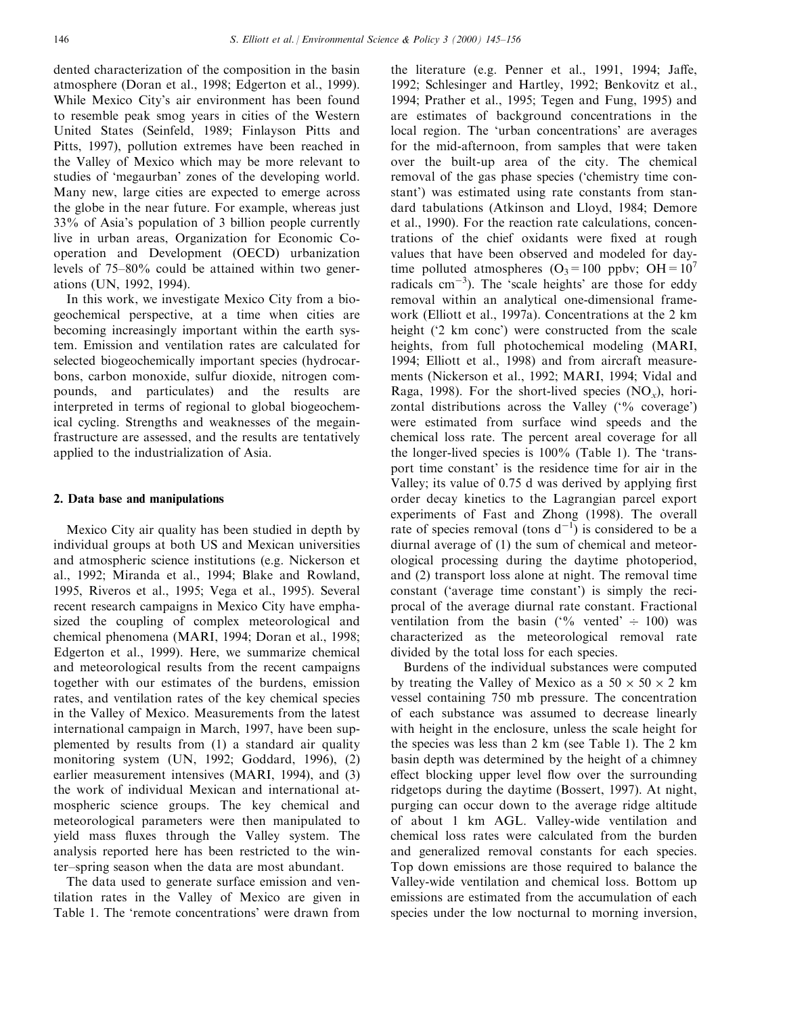dented characterization of the composition in the basin atmosphere (Doran et al., 1998; Edgerton et al., 1999). While Mexico City's air environment has been found to resemble peak smog years in cities of the Western United States (Seinfeld, 1989; Finlayson Pitts and Pitts, 1997), pollution extremes have been reached in the Valley of Mexico which may be more relevant to studies of `megaurban' zones of the developing world. Many new, large cities are expected to emerge across the globe in the near future. For example, whereas just 33% of Asia's population of 3 billion people currently live in urban areas, Organization for Economic Cooperation and Development (OECD) urbanization levels of  $75-80\%$  could be attained within two generations (UN, 1992, 1994).

In this work, we investigate Mexico City from a biogeochemical perspective, at a time when cities are becoming increasingly important within the earth system. Emission and ventilation rates are calculated for selected biogeochemically important species (hydrocarbons, carbon monoxide, sulfur dioxide, nitrogen compounds, and particulates) and the results are interpreted in terms of regional to global biogeochemical cycling. Strengths and weaknesses of the megainfrastructure are assessed, and the results are tentatively applied to the industrialization of Asia.

## 2. Data base and manipulations

Mexico City air quality has been studied in depth by individual groups at both US and Mexican universities and atmospheric science institutions (e.g. Nickerson et al., 1992; Miranda et al., 1994; Blake and Rowland, 1995, Riveros et al., 1995; Vega et al., 1995). Several recent research campaigns in Mexico City have emphasized the coupling of complex meteorological and chemical phenomena (MARI, 1994; Doran et al., 1998; Edgerton et al., 1999). Here, we summarize chemical and meteorological results from the recent campaigns together with our estimates of the burdens, emission rates, and ventilation rates of the key chemical species in the Valley of Mexico. Measurements from the latest international campaign in March, 1997, have been supplemented by results from (1) a standard air quality monitoring system (UN, 1992; Goddard, 1996), (2) earlier measurement intensives (MARI, 1994), and (3) the work of individual Mexican and international atmospheric science groups. The key chemical and meteorological parameters were then manipulated to yield mass fluxes through the Valley system. The analysis reported here has been restricted to the winter-spring season when the data are most abundant.

The data used to generate surface emission and ventilation rates in the Valley of Mexico are given in Table 1. The `remote concentrations' were drawn from

the literature (e.g. Penner et al., 1991, 1994; Jaffe, 1992; Schlesinger and Hartley, 1992; Benkovitz et al., 1994; Prather et al., 1995; Tegen and Fung, 1995) and are estimates of background concentrations in the local region. The 'urban concentrations' are averages for the mid-afternoon, from samples that were taken over the built-up area of the city. The chemical removal of the gas phase species (`chemistry time constant') was estimated using rate constants from standard tabulations (Atkinson and Lloyd, 1984; Demore et al., 1990). For the reaction rate calculations, concentrations of the chief oxidants were fixed at rough values that have been observed and modeled for daytime polluted atmospheres  $(O_3=100 \text{ ppbv}; \text{OH}=10^7$ radicals  $cm^{-3}$ ). The 'scale heights' are those for eddy removal within an analytical one-dimensional framework (Elliott et al., 1997a). Concentrations at the 2 km height ('2 km conc') were constructed from the scale heights, from full photochemical modeling (MARI, 1994; Elliott et al., 1998) and from aircraft measurements (Nickerson et al., 1992; MARI, 1994; Vidal and Raga, 1998). For the short-lived species  $(NO_x)$ , horizontal distributions across the Valley  $(°\% \noverline{\ } \noverline{\ } \noverline{\ } \noverline{\ } )$ were estimated from surface wind speeds and the chemical loss rate. The percent areal coverage for all the longer-lived species is 100% (Table 1). The `transport time constant' is the residence time for air in the Valley; its value of  $0.75$  d was derived by applying first order decay kinetics to the Lagrangian parcel export experiments of Fast and Zhong (1998). The overall rate of species removal (tons  $d^{-1}$ ) is considered to be a diurnal average of (1) the sum of chemical and meteorological processing during the daytime photoperiod, and (2) transport loss alone at night. The removal time constant (`average time constant') is simply the reciprocal of the average diurnal rate constant. Fractional ventilation from the basin ( $\frac{6}{6}$  vented'  $\div$  100) was characterized as the meteorological removal rate divided by the total loss for each species.

Burdens of the individual substances were computed by treating the Valley of Mexico as a  $50 \times 50 \times 2$  km vessel containing 750 mb pressure. The concentration of each substance was assumed to decrease linearly with height in the enclosure, unless the scale height for the species was less than 2 km (see Table 1). The 2 km basin depth was determined by the height of a chimney effect blocking upper level flow over the surrounding ridgetops during the daytime (Bossert, 1997). At night, purging can occur down to the average ridge altitude of about 1 km AGL. Valley-wide ventilation and chemical loss rates were calculated from the burden and generalized removal constants for each species. Top down emissions are those required to balance the Valley-wide ventilation and chemical loss. Bottom up emissions are estimated from the accumulation of each species under the low nocturnal to morning inversion,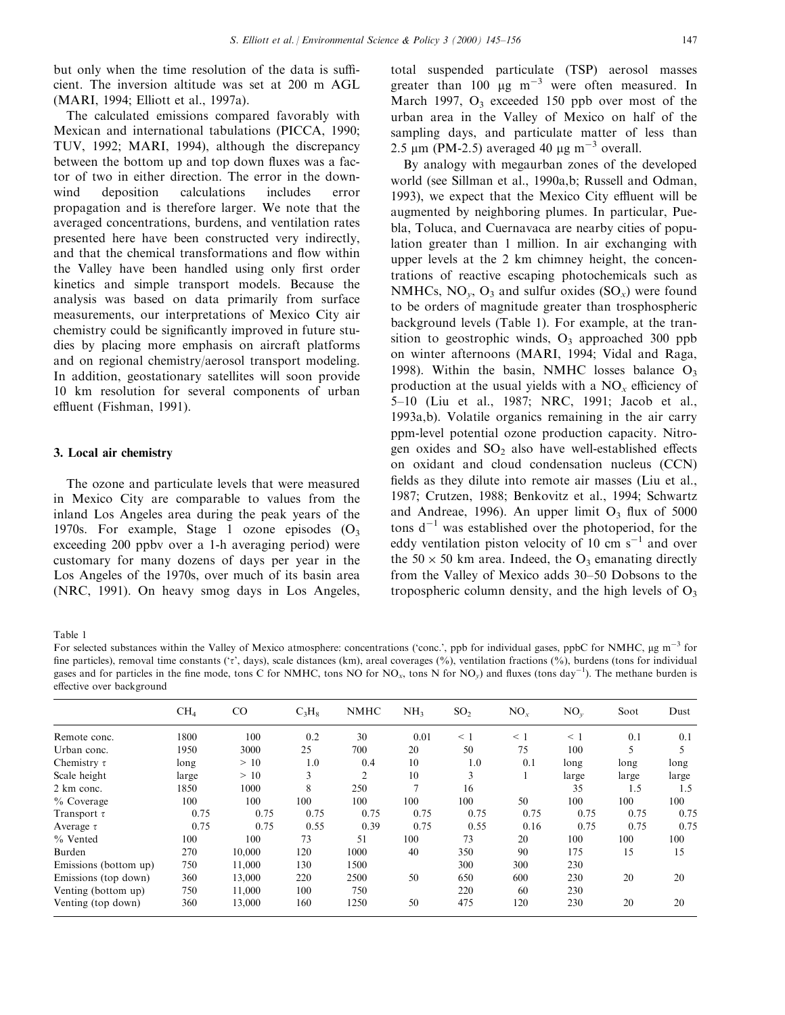but only when the time resolution of the data is sufficient. The inversion altitude was set at 200 m AGL (MARI, 1994; Elliott et al., 1997a).

The calculated emissions compared favorably with Mexican and international tabulations (PICCA, 1990; TUV, 1992; MARI, 1994), although the discrepancy between the bottom up and top down fluxes was a factor of two in either direction. The error in the downwind deposition calculations includes error propagation and is therefore larger. We note that the averaged concentrations, burdens, and ventilation rates presented here have been constructed very indirectly, and that the chemical transformations and flow within the Valley have been handled using only first order kinetics and simple transport models. Because the analysis was based on data primarily from surface measurements, our interpretations of Mexico City air chemistry could be significantly improved in future studies by placing more emphasis on aircraft platforms and on regional chemistry/aerosol transport modeling. In addition, geostationary satellites will soon provide 10 km resolution for several components of urban effluent (Fishman, 1991).

#### 3. Local air chemistry

The ozone and particulate levels that were measured in Mexico City are comparable to values from the inland Los Angeles area during the peak years of the 1970s. For example, Stage 1 ozone episodes  $(O_3)$ exceeding 200 ppbv over a 1-h averaging period) were customary for many dozens of days per year in the Los Angeles of the 1970s, over much of its basin area (NRC, 1991). On heavy smog days in Los Angeles,

total suspended particulate (TSP) aerosol masses greater than 100  $\mu$ g m<sup>-3</sup> were often measured. In March 1997,  $O_3$  exceeded 150 ppb over most of the urban area in the Valley of Mexico on half of the sampling days, and particulate matter of less than 2.5  $\mu$ m (PM-2.5) averaged 40  $\mu$ g m<sup>-3</sup> overall.

By analogy with megaurban zones of the developed world (see Sillman et al., 1990a,b; Russell and Odman, 1993), we expect that the Mexico City effluent will be augmented by neighboring plumes. In particular, Puebla, Toluca, and Cuernavaca are nearby cities of population greater than 1 million. In air exchanging with upper levels at the 2 km chimney height, the concentrations of reactive escaping photochemicals such as NMHCs,  $NO<sub>v</sub>$ ,  $O<sub>3</sub>$  and sulfur oxides  $(SO<sub>x</sub>)$  were found to be orders of magnitude greater than trosphospheric background levels (Table 1). For example, at the transition to geostrophic winds,  $O_3$  approached 300 ppb on winter afternoons (MARI, 1994; Vidal and Raga, 1998). Within the basin, NMHC losses balance  $O_3$ production at the usual yields with a  $NO<sub>x</sub>$  efficiency of 5±10 (Liu et al., 1987; NRC, 1991; Jacob et al., 1993a,b). Volatile organics remaining in the air carry ppm-level potential ozone production capacity. Nitrogen oxides and  $SO_2$  also have well-established effects on oxidant and cloud condensation nucleus (CCN) fields as they dilute into remote air masses (Liu et al., 1987; Crutzen, 1988; Benkovitz et al., 1994; Schwartz and Andreae, 1996). An upper limit  $O_3$  flux of 5000 tons  $d^{-1}$  was established over the photoperiod, for the eddy ventilation piston velocity of 10 cm  $s^{-1}$  and over the  $50 \times 50$  km area. Indeed, the O<sub>3</sub> emanating directly from the Valley of Mexico adds 30–50 Dobsons to the tropospheric column density, and the high levels of  $O<sub>3</sub>$ 

Table 1

For selected substances within the Valley of Mexico atmosphere: concentrations ('conc.', ppb for individual gases, ppbC for NMHC,  $\mu$ g m<sup>-3</sup> for fine particles), removal time constants ( $\tau$ , days), scale distances (km), areal coverages (%), ventilation fractions (%), burdens (tons for individual gases and for particles in the fine mode, tons C for NMHC, tons NO for NO<sub>x</sub>, tons N for NO<sub>y</sub>) and fluxes (tons day<sup>-1</sup>). The methane burden is effective over background

| CO<br>100 | $C_3H_8$     | <b>NMHC</b>    | NH <sub>3</sub> | SO <sub>2</sub> | $NO_{r}$ | $NO_{v}$ | Soot  | Dust  |
|-----------|--------------|----------------|-----------------|-----------------|----------|----------|-------|-------|
|           |              |                |                 |                 |          |          |       |       |
|           |              | 30             | 0.01            | $\leq 1$        | $\leq 1$ | $\leq$ 1 | 0.1   | 0.1   |
| 3000      | 25           | 700            | 20              | 50              | 75       | 100      |       |       |
| >10       | 1.0          | 0.4            | 10              | 1.0             | 0.1      | long     | long  | long  |
| >10       | 3            | $\overline{2}$ | 10              | 3               |          | large    | large | large |
| 1000      | 8            | 250            | $\overline{7}$  | 16              |          | 35       | 1.5   | 1.5   |
| 100       | 100          | 100            | 100             | 100             | 50       | 100      | 100   | 100   |
| 0.75      | 0.75         | 0.75           | 0.75            | 0.75            | 0.75     | 0.75     | 0.75  | 0.75  |
| 0.75      | 0.55         | 0.39           | 0.75            | 0.55            | 0.16     | 0.75     | 0.75  | 0.75  |
| 100       | 73           | 51             | 100             | 73              | 20       | 100      | 100   | 100   |
| 10,000    | 120          | 1000           | 40              | 350             | 90       | 175      | 15    | 15    |
| 11,000    | 130          | 1500           |                 | 300             | 300      | 230      |       |       |
| 13,000    | 220          | 2500           | 50              | 650             | 600      | 230      | 20    | 20    |
| 11,000    | 100          | 750            |                 | 220             | 60       | 230      |       |       |
| 13,000    | 160          | 1250           | 50              | 475             | 120      | 230      | 20    | 20    |
|           | 0.75<br>0.75 | 0.2            |                 |                 |          |          |       |       |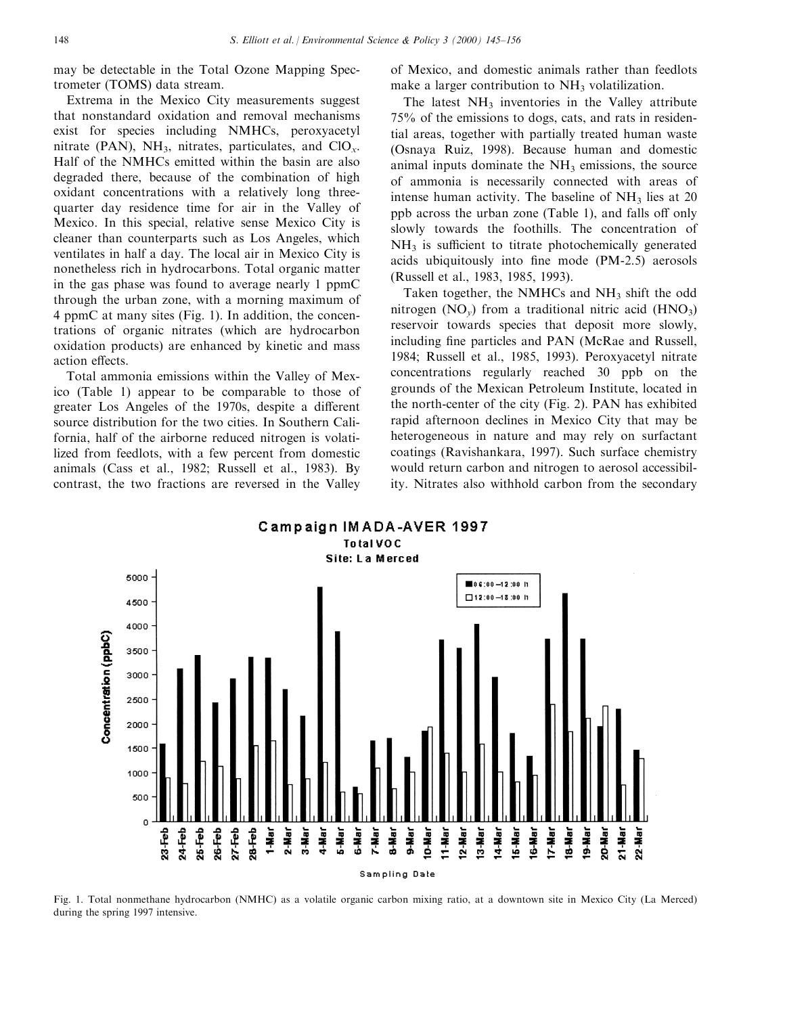may be detectable in the Total Ozone Mapping Spectrometer (TOMS) data stream.

Extrema in the Mexico City measurements suggest that nonstandard oxidation and removal mechanisms exist for species including NMHCs, peroxyacetyl nitrate (PAN), NH<sub>3</sub>, nitrates, particulates, and  $ClO_x$ . Half of the NMHCs emitted within the basin are also degraded there, because of the combination of high oxidant concentrations with a relatively long threequarter day residence time for air in the Valley of Mexico. In this special, relative sense Mexico City is cleaner than counterparts such as Los Angeles, which ventilates in half a day. The local air in Mexico City is nonetheless rich in hydrocarbons. Total organic matter in the gas phase was found to average nearly 1 ppmC through the urban zone, with a morning maximum of 4 ppmC at many sites (Fig. 1). In addition, the concentrations of organic nitrates (which are hydrocarbon oxidation products) are enhanced by kinetic and mass action effects.

Total ammonia emissions within the Valley of Mexico (Table 1) appear to be comparable to those of greater Los Angeles of the 1970s, despite a different source distribution for the two cities. In Southern California, half of the airborne reduced nitrogen is volatilized from feedlots, with a few percent from domestic animals (Cass et al., 1982; Russell et al., 1983). By contrast, the two fractions are reversed in the Valley

of Mexico, and domestic animals rather than feedlots make a larger contribution to  $NH<sub>3</sub>$  volatilization.

The latest  $NH<sub>3</sub>$  inventories in the Valley attribute 75% of the emissions to dogs, cats, and rats in residential areas, together with partially treated human waste (Osnaya Ruiz, 1998). Because human and domestic animal inputs dominate the  $NH<sub>3</sub>$  emissions, the source of ammonia is necessarily connected with areas of intense human activity. The baseline of  $NH<sub>3</sub>$  lies at 20 ppb across the urban zone (Table 1), and falls off only slowly towards the foothills. The concentration of  $NH<sub>3</sub>$  is sufficient to titrate photochemically generated acids ubiquitously into fine mode (PM-2.5) aerosols (Russell et al., 1983, 1985, 1993).

Taken together, the NMHCs and NH<sub>3</sub> shift the odd nitrogen  $(NO_y)$  from a traditional nitric acid  $(HNO_3)$ reservoir towards species that deposit more slowly, including fine particles and PAN (McRae and Russell, 1984; Russell et al., 1985, 1993). Peroxyacetyl nitrate concentrations regularly reached 30 ppb on the grounds of the Mexican Petroleum Institute, located in the north-center of the city (Fig. 2). PAN has exhibited rapid afternoon declines in Mexico City that may be heterogeneous in nature and may rely on surfactant coatings (Ravishankara, 1997). Such surface chemistry would return carbon and nitrogen to aerosol accessibility. Nitrates also withhold carbon from the secondary



Fig. 1. Total nonmethane hydrocarbon (NMHC) as a volatile organic carbon mixing ratio, at a downtown site in Mexico City (La Merced) during the spring 1997 intensive.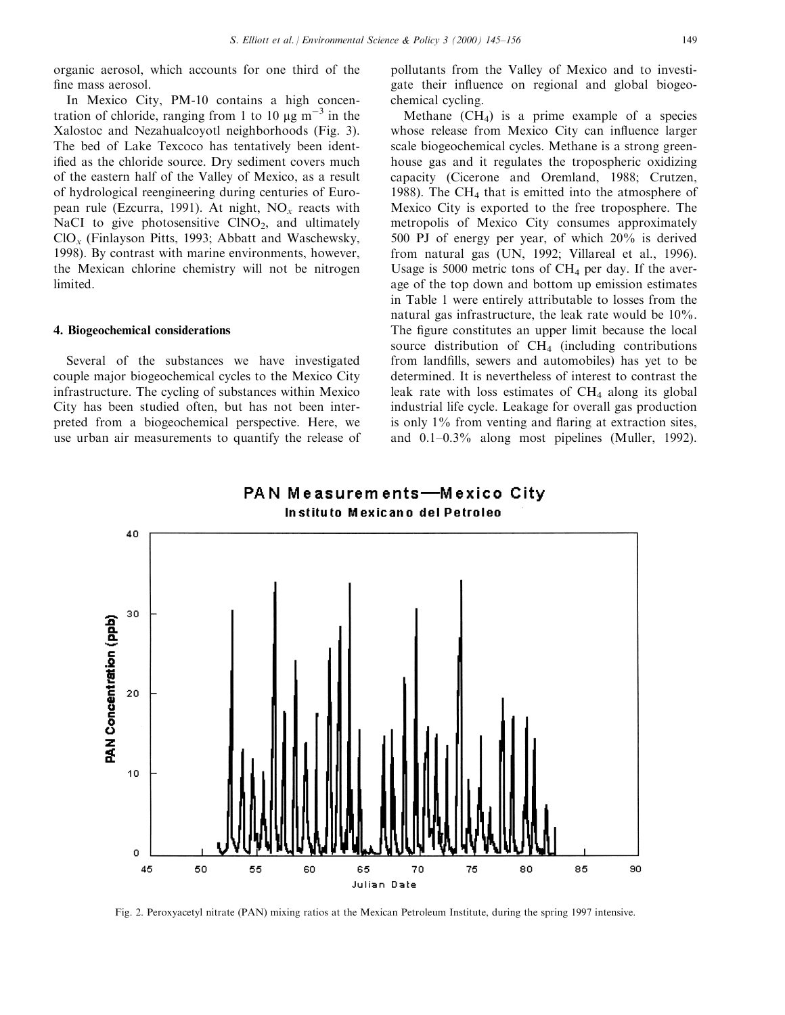organic aerosol, which accounts for one third of the fine mass aerosol.

In Mexico City, PM-10 contains a high concentration of chloride, ranging from 1 to 10  $\mu$ g m<sup>-3</sup> in the Xalostoc and Nezahualcoyotl neighborhoods (Fig. 3). The bed of Lake Texcoco has tentatively been identified as the chloride source. Dry sediment covers much of the eastern half of the Valley of Mexico, as a result of hydrological reengineering during centuries of European rule (Ezcurra, 1991). At night,  $NO<sub>x</sub>$  reacts with NaCI to give photosensitive  $CINO<sub>2</sub>$ , and ultimately  $ClO<sub>x</sub>$  (Finlayson Pitts, 1993; Abbatt and Waschewsky, 1998). By contrast with marine environments, however, the Mexican chlorine chemistry will not be nitrogen limited.

## 4. Biogeochemical considerations

Several of the substances we have investigated couple major biogeochemical cycles to the Mexico City infrastructure. The cycling of substances within Mexico City has been studied often, but has not been interpreted from a biogeochemical perspective. Here, we use urban air measurements to quantify the release of

pollutants from the Valley of Mexico and to investigate their influence on regional and global biogeochemical cycling.

Methane  $(CH_4)$  is a prime example of a species whose release from Mexico City can influence larger scale biogeochemical cycles. Methane is a strong greenhouse gas and it regulates the tropospheric oxidizing capacity (Cicerone and Oremland, 1988; Crutzen, 1988). The  $CH<sub>4</sub>$  that is emitted into the atmosphere of Mexico City is exported to the free troposphere. The metropolis of Mexico City consumes approximately 500 PJ of energy per year, of which 20% is derived from natural gas (UN, 1992; Villareal et al., 1996). Usage is 5000 metric tons of  $CH_4$  per day. If the average of the top down and bottom up emission estimates in Table 1 were entirely attributable to losses from the natural gas infrastructure, the leak rate would be 10%. The figure constitutes an upper limit because the local source distribution of CH<sub>4</sub> (including contributions from landfills, sewers and automobiles) has yet to be determined. It is nevertheless of interest to contrast the leak rate with loss estimates of  $CH<sub>4</sub>$  along its global industrial life cycle. Leakage for overall gas production is only  $1\%$  from venting and flaring at extraction sites, and  $0.1-0.3\%$  along most pipelines (Muller, 1992).





Fig. 2. Peroxyacetyl nitrate (PAN) mixing ratios at the Mexican Petroleum Institute, during the spring 1997 intensive.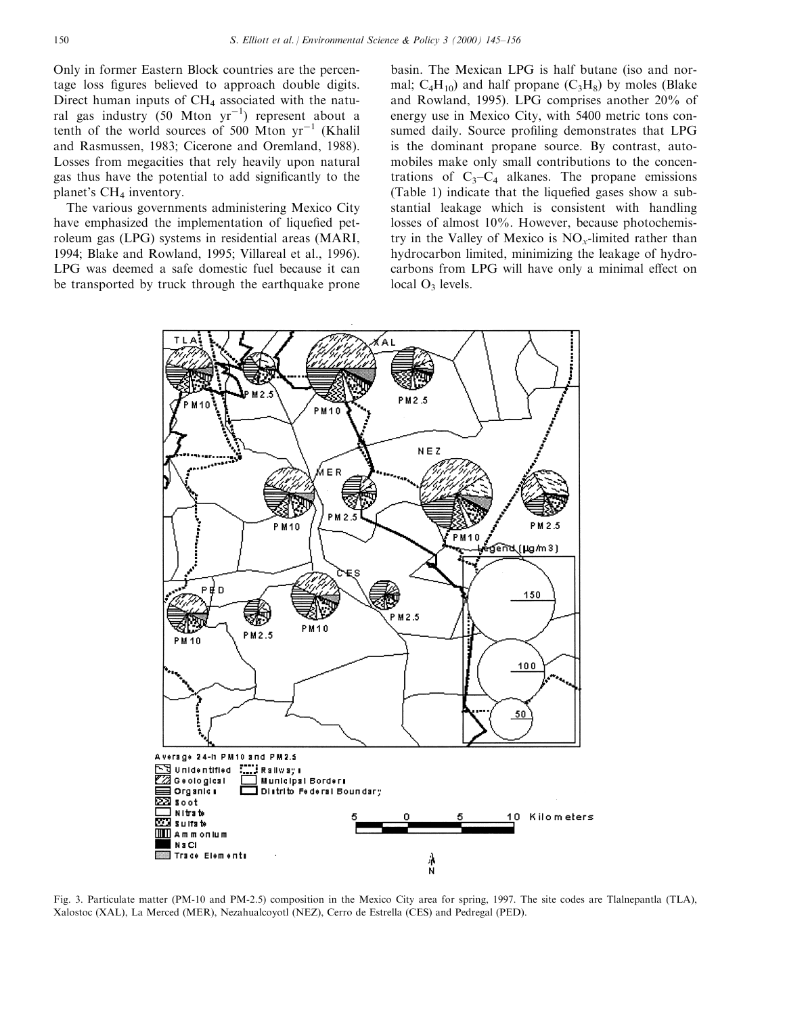Only in former Eastern Block countries are the percentage loss figures believed to approach double digits. Direct human inputs of  $CH<sub>4</sub>$  associated with the natural gas industry  $(50 \text{ Mton yr}^{-1})$  represent about a tenth of the world sources of 500 Mton  $yr^{-1}$  (Khalil and Rasmussen, 1983; Cicerone and Oremland, 1988). Losses from megacities that rely heavily upon natural gas thus have the potential to add significantly to the planet's  $CH<sub>4</sub>$  inventory.

The various governments administering Mexico City have emphasized the implementation of lique fied petroleum gas (LPG) systems in residential areas (MARI, 1994; Blake and Rowland, 1995; Villareal et al., 1996). LPG was deemed a safe domestic fuel because it can be transported by truck through the earthquake prone

basin. The Mexican LPG is half butane (iso and normal;  $C_4H_{10}$ ) and half propane  $(C_3H_8)$  by moles (Blake and Rowland, 1995). LPG comprises another 20% of energy use in Mexico City, with 5400 metric tons consumed daily. Source profiling demonstrates that LPG is the dominant propane source. By contrast, automobiles make only small contributions to the concentrations of  $C_3-C_4$  alkanes. The propane emissions (Table 1) indicate that the liquefied gases show a substantial leakage which is consistent with handling losses of almost 10%. However, because photochemistry in the Valley of Mexico is  $NO<sub>x</sub>$ -limited rather than hydrocarbon limited, minimizing the leakage of hydrocarbons from LPG will have only a minimal effect on local  $O_3$  levels.



Fig. 3. Particulate matter (PM-10 and PM-2.5) composition in the Mexico City area for spring, 1997. The site codes are Tlalnepantla (TLA), Xalostoc (XAL), La Merced (MER), Nezahualcoyotl (NEZ), Cerro de Estrella (CES) and Pedregal (PED).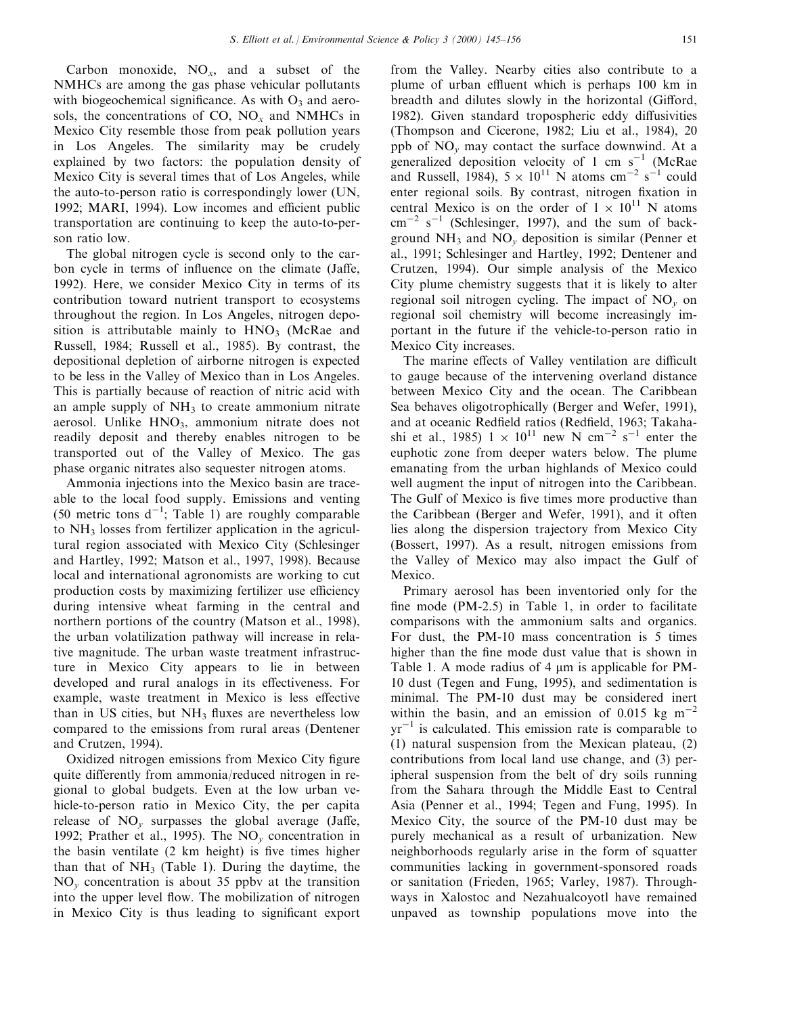Carbon monoxide,  $NO_x$ , and a subset of the NMHCs are among the gas phase vehicular pollutants with biogeochemical significance. As with  $O_3$  and aerosols, the concentrations of CO,  $NO_x$  and NMHCs in Mexico City resemble those from peak pollution years in Los Angeles. The similarity may be crudely explained by two factors: the population density of Mexico City is several times that of Los Angeles, while the auto-to-person ratio is correspondingly lower (UN, 1992; MARI, 1994). Low incomes and efficient public transportation are continuing to keep the auto-to-person ratio low.

The global nitrogen cycle is second only to the carbon cycle in terms of influence on the climate (Jaffe, 1992). Here, we consider Mexico City in terms of its contribution toward nutrient transport to ecosystems throughout the region. In Los Angeles, nitrogen deposition is attributable mainly to  $HNO<sub>3</sub>$  (McRae and Russell, 1984; Russell et al., 1985). By contrast, the depositional depletion of airborne nitrogen is expected to be less in the Valley of Mexico than in Los Angeles. This is partially because of reaction of nitric acid with an ample supply of  $NH<sub>3</sub>$  to create ammonium nitrate aerosol. Unlike HNO<sub>3</sub>, ammonium nitrate does not readily deposit and thereby enables nitrogen to be transported out of the Valley of Mexico. The gas phase organic nitrates also sequester nitrogen atoms.

Ammonia injections into the Mexico basin are traceable to the local food supply. Emissions and venting (50 metric tons  $d^{-1}$ ; Table 1) are roughly comparable to NH3 losses from fertilizer application in the agricultural region associated with Mexico City (Schlesinger and Hartley, 1992; Matson et al., 1997, 1998). Because local and international agronomists are working to cut production costs by maximizing fertilizer use efficiency during intensive wheat farming in the central and northern portions of the country (Matson et al., 1998), the urban volatilization pathway will increase in relative magnitude. The urban waste treatment infrastructure in Mexico City appears to lie in between developed and rural analogs in its effectiveness. For example, waste treatment in Mexico is less effective than in US cities, but  $NH_3$  fluxes are nevertheless low compared to the emissions from rural areas (Dentener and Crutzen, 1994).

Oxidized nitrogen emissions from Mexico City figure quite differently from ammonia/reduced nitrogen in regional to global budgets. Even at the low urban vehicle-to-person ratio in Mexico City, the per capita release of  $NO<sub>v</sub>$  surpasses the global average (Jaffe, 1992; Prather et al., 1995). The  $NO<sub>v</sub>$  concentration in the basin ventilate  $(2 \text{ km height})$  is five times higher than that of  $NH<sub>3</sub>$  (Table 1). During the daytime, the  $NO<sub>v</sub>$  concentration is about 35 ppby at the transition into the upper level flow. The mobilization of nitrogen in Mexico City is thus leading to significant export

from the Valley. Nearby cities also contribute to a plume of urban effluent which is perhaps 100 km in breadth and dilutes slowly in the horizontal (Gifford, 1982). Given standard tropospheric eddy diffusivities (Thompson and Cicerone, 1982; Liu et al., 1984), 20 ppb of  $NO<sub>v</sub>$  may contact the surface downwind. At a generalized deposition velocity of 1 cm  $s^{-1}$  (McRae and Russell, 1984),  $5 \times 10^{11}$  N atoms cm<sup>-2</sup> s<sup>-1</sup> could enter regional soils. By contrast, nitrogen fixation in central Mexico is on the order of  $1 \times 10^{11}$  N atoms  $\text{cm}^{-2}$  s<sup>-1</sup> (Schlesinger, 1997), and the sum of background  $NH_3$  and  $NO<sub>v</sub>$  deposition is similar (Penner et al., 1991; Schlesinger and Hartley, 1992; Dentener and Crutzen, 1994). Our simple analysis of the Mexico City plume chemistry suggests that it is likely to alter regional soil nitrogen cycling. The impact of  $NO<sub>v</sub>$  on regional soil chemistry will become increasingly important in the future if the vehicle-to-person ratio in Mexico City increases.

The marine effects of Valley ventilation are difficult to gauge because of the intervening overland distance between Mexico City and the ocean. The Caribbean Sea behaves oligotrophically (Berger and Wefer, 1991), and at oceanic Redfield ratios (Redfield, 1963; Takahashi et al., 1985)  $1 \times 10^{11}$  new N cm<sup>-2</sup> s<sup>-1</sup> enter the euphotic zone from deeper waters below. The plume emanating from the urban highlands of Mexico could well augment the input of nitrogen into the Caribbean. The Gulf of Mexico is five times more productive than the Caribbean (Berger and Wefer, 1991), and it often lies along the dispersion trajectory from Mexico City (Bossert, 1997). As a result, nitrogen emissions from the Valley of Mexico may also impact the Gulf of Mexico.

Primary aerosol has been inventoried only for the fine mode  $(PM-2.5)$  in Table 1, in order to facilitate comparisons with the ammonium salts and organics. For dust, the PM-10 mass concentration is 5 times higher than the fine mode dust value that is shown in Table 1. A mode radius of 4  $\mu$ m is applicable for PM-10 dust (Tegen and Fung, 1995), and sedimentation is minimal. The PM-10 dust may be considered inert within the basin, and an emission of 0.015 kg  $m^{-2}$  $yr^{-1}$  is calculated. This emission rate is comparable to (1) natural suspension from the Mexican plateau, (2) contributions from local land use change, and (3) peripheral suspension from the belt of dry soils running from the Sahara through the Middle East to Central Asia (Penner et al., 1994; Tegen and Fung, 1995). In Mexico City, the source of the PM-10 dust may be purely mechanical as a result of urbanization. New neighborhoods regularly arise in the form of squatter communities lacking in government-sponsored roads or sanitation (Frieden, 1965; Varley, 1987). Throughways in Xalostoc and Nezahualcoyotl have remained unpaved as township populations move into the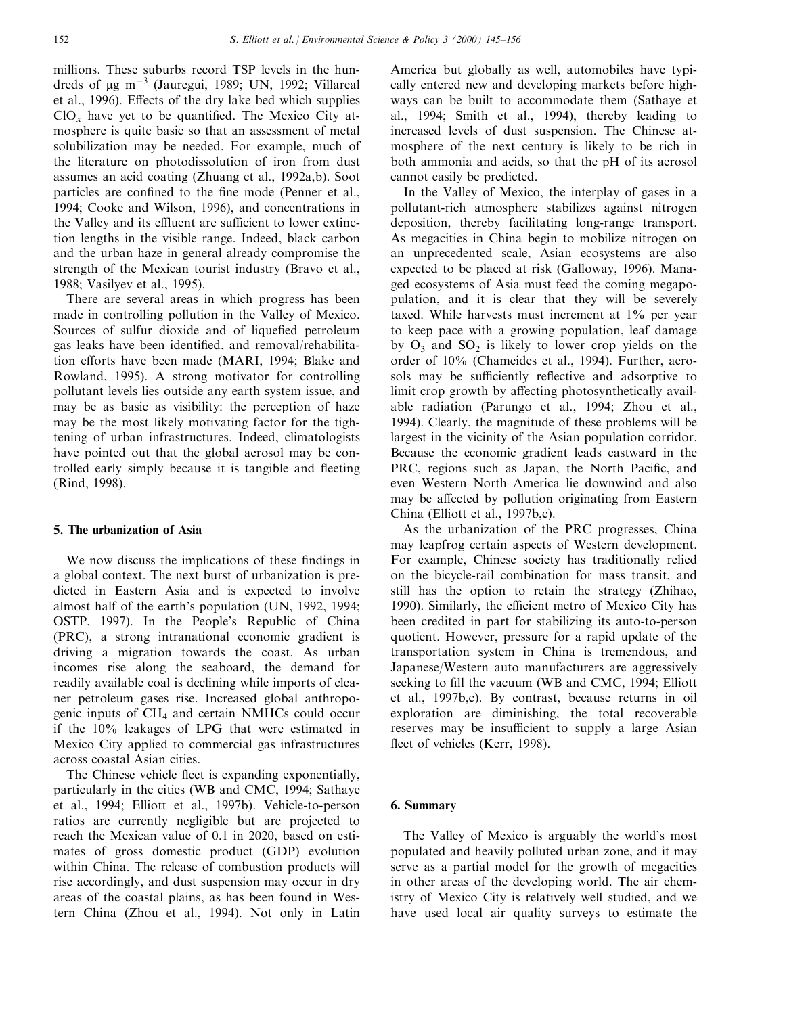millions. These suburbs record TSP levels in the hundreds of  $\mu$ g m<sup>-3</sup> (Jauregui, 1989; UN, 1992; Villareal et al., 1996). Effects of the dry lake bed which supplies  $ClO_x$  have yet to be quantified. The Mexico City atmosphere is quite basic so that an assessment of metal solubilization may be needed. For example, much of the literature on photodissolution of iron from dust assumes an acid coating (Zhuang et al., 1992a,b). Soot particles are confined to the fine mode (Penner et al., 1994; Cooke and Wilson, 1996), and concentrations in the Valley and its effluent are sufficient to lower extinction lengths in the visible range. Indeed, black carbon and the urban haze in general already compromise the strength of the Mexican tourist industry (Bravo et al., 1988; Vasilyev et al., 1995).

There are several areas in which progress has been made in controlling pollution in the Valley of Mexico. Sources of sulfur dioxide and of liquefied petroleum gas leaks have been identified, and removal/rehabilitation efforts have been made (MARI, 1994; Blake and Rowland, 1995). A strong motivator for controlling pollutant levels lies outside any earth system issue, and may be as basic as visibility: the perception of haze may be the most likely motivating factor for the tightening of urban infrastructures. Indeed, climatologists have pointed out that the global aerosol may be controlled early simply because it is tangible and fleeting (Rind, 1998).

#### 5. The urbanization of Asia

We now discuss the implications of these findings in a global context. The next burst of urbanization is predicted in Eastern Asia and is expected to involve almost half of the earth's population (UN, 1992, 1994; OSTP, 1997). In the People's Republic of China (PRC), a strong intranational economic gradient is driving a migration towards the coast. As urban incomes rise along the seaboard, the demand for readily available coal is declining while imports of cleaner petroleum gases rise. Increased global anthropogenic inputs of CH4 and certain NMHCs could occur if the 10% leakages of LPG that were estimated in Mexico City applied to commercial gas infrastructures across coastal Asian cities.

The Chinese vehicle fleet is expanding exponentially, particularly in the cities (WB and CMC, 1994; Sathaye et al., 1994; Elliott et al., 1997b). Vehicle-to-person ratios are currently negligible but are projected to reach the Mexican value of 0.1 in 2020, based on estimates of gross domestic product (GDP) evolution within China. The release of combustion products will rise accordingly, and dust suspension may occur in dry areas of the coastal plains, as has been found in Western China (Zhou et al., 1994). Not only in Latin

America but globally as well, automobiles have typically entered new and developing markets before highways can be built to accommodate them (Sathaye et al., 1994; Smith et al., 1994), thereby leading to increased levels of dust suspension. The Chinese atmosphere of the next century is likely to be rich in both ammonia and acids, so that the pH of its aerosol cannot easily be predicted.

In the Valley of Mexico, the interplay of gases in a pollutant-rich atmosphere stabilizes against nitrogen deposition, thereby facilitating long-range transport. As megacities in China begin to mobilize nitrogen on an unprecedented scale, Asian ecosystems are also expected to be placed at risk (Galloway, 1996). Managed ecosystems of Asia must feed the coming megapopulation, and it is clear that they will be severely taxed. While harvests must increment at 1% per year to keep pace with a growing population, leaf damage by  $O_3$  and  $SO_2$  is likely to lower crop yields on the order of 10% (Chameides et al., 1994). Further, aerosols may be sufficiently reflective and adsorptive to limit crop growth by affecting photosynthetically available radiation (Parungo et al., 1994; Zhou et al., 1994). Clearly, the magnitude of these problems will be largest in the vicinity of the Asian population corridor. Because the economic gradient leads eastward in the PRC, regions such as Japan, the North Pacific, and even Western North America lie downwind and also may be affected by pollution originating from Eastern China (Elliott et al., 1997b,c).

As the urbanization of the PRC progresses, China may leapfrog certain aspects of Western development. For example, Chinese society has traditionally relied on the bicycle-rail combination for mass transit, and still has the option to retain the strategy (Zhihao, 1990). Similarly, the efficient metro of Mexico City has been credited in part for stabilizing its auto-to-person quotient. However, pressure for a rapid update of the transportation system in China is tremendous, and Japanese/Western auto manufacturers are aggressively seeking to fill the vacuum (WB and CMC, 1994; Elliott et al., 1997b,c). By contrast, because returns in oil exploration are diminishing, the total recoverable reserves may be insufficient to supply a large Asian fleet of vehicles (Kerr, 1998).

## 6. Summary

The Valley of Mexico is arguably the world's most populated and heavily polluted urban zone, and it may serve as a partial model for the growth of megacities in other areas of the developing world. The air chemistry of Mexico City is relatively well studied, and we have used local air quality surveys to estimate the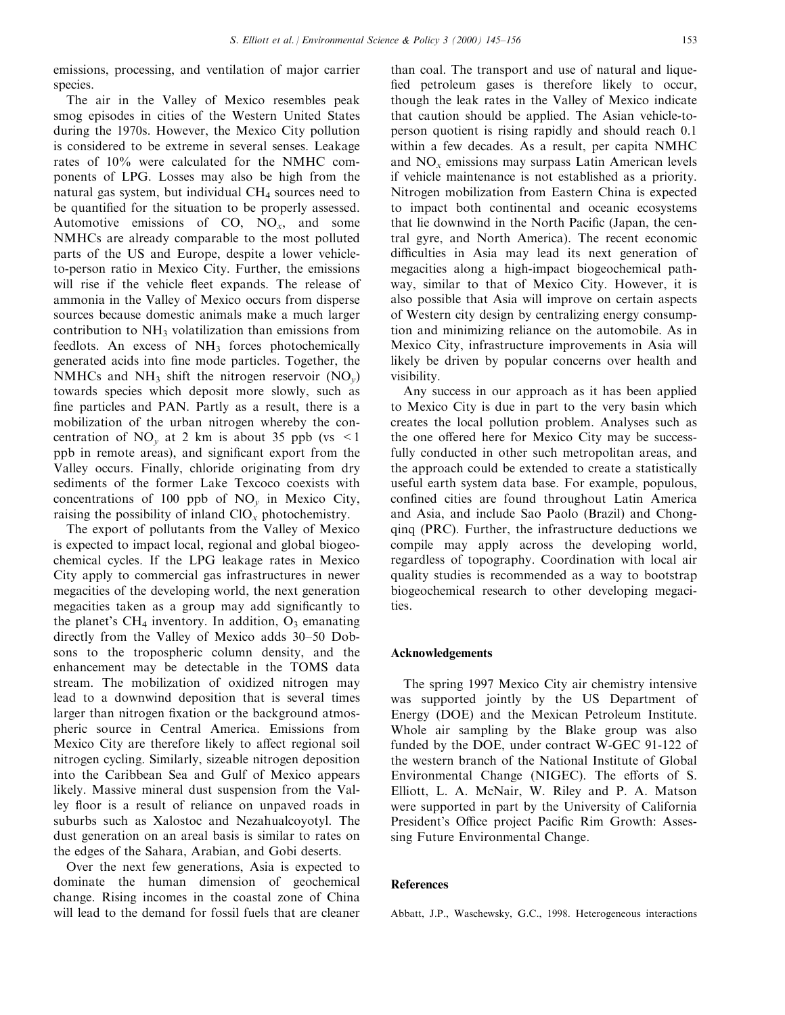emissions, processing, and ventilation of major carrier species.

The air in the Valley of Mexico resembles peak smog episodes in cities of the Western United States during the 1970s. However, the Mexico City pollution is considered to be extreme in several senses. Leakage rates of 10% were calculated for the NMHC components of LPG. Losses may also be high from the natural gas system, but individual  $CH<sub>4</sub>$  sources need to be quantified for the situation to be properly assessed. Automotive emissions of  $CO$ ,  $NO<sub>x</sub>$ , and some NMHCs are already comparable to the most polluted parts of the US and Europe, despite a lower vehicleto-person ratio in Mexico City. Further, the emissions will rise if the vehicle fleet expands. The release of ammonia in the Valley of Mexico occurs from disperse sources because domestic animals make a much larger contribution to  $NH<sub>3</sub>$  volatilization than emissions from feedlots. An excess of NH<sub>3</sub> forces photochemically generated acids into fine mode particles. Together, the NMHCs and NH<sub>3</sub> shift the nitrogen reservoir  $(NO<sub>v</sub>)$ towards species which deposit more slowly, such as fine particles and PAN. Partly as a result, there is a mobilization of the urban nitrogen whereby the concentration of  $NO<sub>v</sub>$  at 2 km is about 35 ppb (vs <1 ppb in remote areas), and significant export from the Valley occurs. Finally, chloride originating from dry sediments of the former Lake Texcoco coexists with concentrations of 100 ppb of  $NO<sub>v</sub>$  in Mexico City, raising the possibility of inland  $ClO_x$  photochemistry.

The export of pollutants from the Valley of Mexico is expected to impact local, regional and global biogeochemical cycles. If the LPG leakage rates in Mexico City apply to commercial gas infrastructures in newer megacities of the developing world, the next generation megacities taken as a group may add significantly to the planet's CH<sub>4</sub> inventory. In addition,  $O_3$  emanating directly from the Valley of Mexico adds 30-50 Dobsons to the tropospheric column density, and the enhancement may be detectable in the TOMS data stream. The mobilization of oxidized nitrogen may lead to a downwind deposition that is several times larger than nitrogen fixation or the background atmospheric source in Central America. Emissions from Mexico City are therefore likely to affect regional soil nitrogen cycling. Similarly, sizeable nitrogen deposition into the Caribbean Sea and Gulf of Mexico appears likely. Massive mineral dust suspension from the Valley floor is a result of reliance on unpaved roads in suburbs such as Xalostoc and Nezahualcoyotyl. The dust generation on an areal basis is similar to rates on the edges of the Sahara, Arabian, and Gobi deserts.

Over the next few generations, Asia is expected to dominate the human dimension of geochemical change. Rising incomes in the coastal zone of China will lead to the demand for fossil fuels that are cleaner

than coal. The transport and use of natural and lique fied petroleum gases is therefore likely to occur, though the leak rates in the Valley of Mexico indicate that caution should be applied. The Asian vehicle-toperson quotient is rising rapidly and should reach 0.1 within a few decades. As a result, per capita NMHC and  $NO<sub>x</sub>$  emissions may surpass Latin American levels if vehicle maintenance is not established as a priority. Nitrogen mobilization from Eastern China is expected to impact both continental and oceanic ecosystems that lie downwind in the North Pacific (Japan, the central gyre, and North America). The recent economic difficulties in Asia may lead its next generation of megacities along a high-impact biogeochemical pathway, similar to that of Mexico City. However, it is also possible that Asia will improve on certain aspects of Western city design by centralizing energy consumption and minimizing reliance on the automobile. As in Mexico City, infrastructure improvements in Asia will likely be driven by popular concerns over health and visibility.

Any success in our approach as it has been applied to Mexico City is due in part to the very basin which creates the local pollution problem. Analyses such as the one offered here for Mexico City may be successfully conducted in other such metropolitan areas, and the approach could be extended to create a statistically useful earth system data base. For example, populous, confined cities are found throughout Latin America and Asia, and include Sao Paolo (Brazil) and Chongqinq (PRC). Further, the infrastructure deductions we compile may apply across the developing world, regardless of topography. Coordination with local air quality studies is recommended as a way to bootstrap biogeochemical research to other developing megacities.

## Acknowledgements

The spring 1997 Mexico City air chemistry intensive was supported jointly by the US Department of Energy (DOE) and the Mexican Petroleum Institute. Whole air sampling by the Blake group was also funded by the DOE, under contract W-GEC 91-122 of the western branch of the National Institute of Global Environmental Change (NIGEC). The efforts of S. Elliott, L. A. McNair, W. Riley and P. A. Matson were supported in part by the University of California President's Office project Pacific Rim Growth: Assessing Future Environmental Change.

## References

Abbatt, J.P., Waschewsky, G.C., 1998. Heterogeneous interactions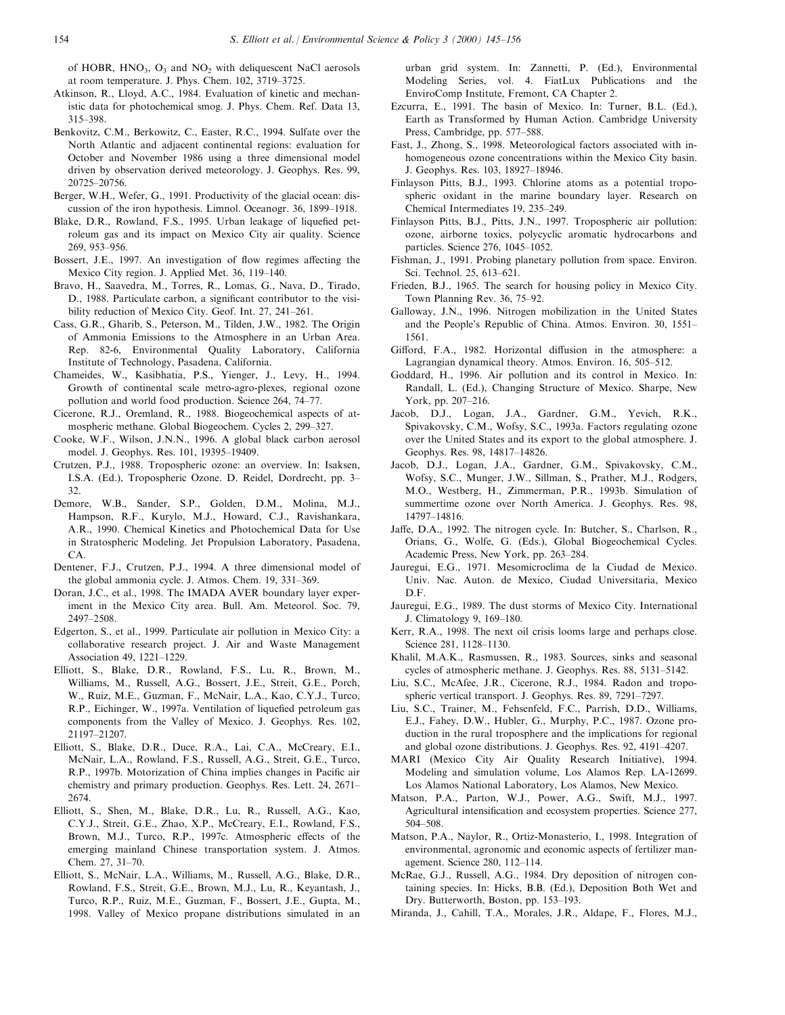of HOBR,  $HNO<sub>3</sub>$ ,  $O<sub>3</sub>$  and  $NO<sub>2</sub>$  with deliquescent NaCl aerosols at room temperature. J. Phys. Chem. 102, 3719-3725.

- Atkinson, R., Lloyd, A.C., 1984. Evaluation of kinetic and mechanistic data for photochemical smog. J. Phys. Chem. Ref. Data 13, 315±398.
- Benkovitz, C.M., Berkowitz, C., Easter, R.C., 1994. Sulfate over the North Atlantic and adjacent continental regions: evaluation for October and November 1986 using a three dimensional model driven by observation derived meteorology. J. Geophys. Res. 99, 20725±20756.
- Berger, W.H., Wefer, G., 1991. Productivity of the glacial ocean: discussion of the iron hypothesis. Limnol. Oceanogr. 36, 1899-1918.
- Blake, D.R., Rowland, F.S., 1995. Urban leakage of liquefied petroleum gas and its impact on Mexico City air quality. Science 269, 953±956.
- Bossert, J.E., 1997. An investigation of flow regimes affecting the Mexico City region. J. Applied Met. 36, 119-140.
- Bravo, H., Saavedra, M., Torres, R., Lomas, G., Nava, D., Tirado, D., 1988. Particulate carbon, a significant contributor to the visibility reduction of Mexico City. Geof. Int. 27, 241-261.
- Cass, G.R., Gharib, S., Peterson, M., Tilden, J.W., 1982. The Origin of Ammonia Emissions to the Atmosphere in an Urban Area. Rep. 82-6, Environmental Quality Laboratory, California Institute of Technology, Pasadena, California.
- Chameides, W., Kasibhatia, P.S., Yienger, J., Levy, H., 1994. Growth of continental scale metro-agro-plexes, regional ozone pollution and world food production. Science 264, 74-77.
- Cicerone, R.J., Oremland, R., 1988. Biogeochemical aspects of atmospheric methane. Global Biogeochem. Cycles 2, 299-327.
- Cooke, W.F., Wilson, J.N.N., 1996. A global black carbon aerosol model. J. Geophys. Res. 101, 19395-19409.
- Crutzen, P.J., 1988. Tropospheric ozone: an overview. In: Isaksen, I.S.A. (Ed.), Tropospheric Ozone. D. Reidel, Dordrecht, pp. 3-32.
- Demore, W.B., Sander, S.P., Golden, D.M., Molina, M.J., Hampson, R.F., Kurylo, M.J., Howard, C.J., Ravishankara, A.R., 1990. Chemical Kinetics and Photochemical Data for Use in Stratospheric Modeling. Jet Propulsion Laboratory, Pasadena, CA.
- Dentener, F.J., Crutzen, P.J., 1994. A three dimensional model of the global ammonia cycle. J. Atmos. Chem. 19, 331-369.
- Doran, J.C., et al., 1998. The IMADA AVER boundary layer experiment in the Mexico City area. Bull. Am. Meteorol. Soc. 79, 2497-2508.
- Edgerton, S., et al., 1999. Particulate air pollution in Mexico City: a collaborative research project. J. Air and Waste Management Association 49, 1221-1229.
- Elliott, S., Blake, D.R., Rowland, F.S., Lu, R., Brown, M., Williams, M., Russell, A.G., Bossert, J.E., Streit, G.E., Porch, W., Ruiz, M.E., Guzman, F., McNair, L.A., Kao, C.Y.J., Turco, R.P., Eichinger, W., 1997a. Ventilation of liquefied petroleum gas components from the Valley of Mexico. J. Geophys. Res. 102, 21197±21207.
- Elliott, S., Blake, D.R., Duce, R.A., Lai, C.A., McCreary, E.I., McNair, L.A., Rowland, F.S., Russell, A.G., Streit, G.E., Turco, R.P., 1997b. Motorization of China implies changes in Pacific air chemistry and primary production. Geophys. Res. Lett. 24, 2671-2674.
- Elliott, S., Shen, M., Blake, D.R., Lu, R., Russell, A.G., Kao, C.Y.J., Streit, G.E., Zhao, X.P., McCreary, E.I., Rowland, F.S., Brown, M.J., Turco, R.P., 1997c. Atmospheric effects of the emerging mainland Chinese transportation system. J. Atmos. Chem. 27, 31-70.
- Elliott, S., McNair, L.A., Williams, M., Russell, A.G., Blake, D.R., Rowland, F.S., Streit, G.E., Brown, M.J., Lu, R., Keyantash, J., Turco, R.P., Ruiz, M.E., Guzman, F., Bossert, J.E., Gupta, M., 1998. Valley of Mexico propane distributions simulated in an

urban grid system. In: Zannetti, P. (Ed.), Environmental Modeling Series, vol. 4. FiatLux Publications and the EnviroComp Institute, Fremont, CA Chapter 2.

- Ezcurra, E., 1991. The basin of Mexico. In: Turner, B.L. (Ed.), Earth as Transformed by Human Action. Cambridge University Press, Cambridge, pp. 577-588.
- Fast, J., Zhong, S., 1998. Meteorological factors associated with inhomogeneous ozone concentrations within the Mexico City basin. J. Geophys. Res. 103, 18927-18946.
- Finlayson Pitts, B.J., 1993. Chlorine atoms as a potential tropospheric oxidant in the marine boundary layer. Research on Chemical Intermediates 19, 235-249.
- Finlayson Pitts, B.J., Pitts, J.N., 1997. Tropospheric air pollution: ozone, airborne toxics, polycyclic aromatic hydrocarbons and particles. Science 276, 1045-1052.
- Fishman, J., 1991. Probing planetary pollution from space. Environ. Sci. Technol. 25, 613-621.
- Frieden, B.J., 1965. The search for housing policy in Mexico City. Town Planning Rev. 36, 75-92.
- Galloway, J.N., 1996. Nitrogen mobilization in the United States and the People's Republic of China. Atmos. Environ. 30, 1551-1561.
- Gifford, F.A., 1982. Horizontal diffusion in the atmosphere: a Lagrangian dynamical theory. Atmos. Environ. 16, 505-512.
- Goddard, H., 1996. Air pollution and its control in Mexico. In: Randall, L. (Ed.), Changing Structure of Mexico. Sharpe, New York, pp. 207-216.
- Jacob, D.J., Logan, J.A., Gardner, G.M., Yevich, R.K., Spivakovsky, C.M., Wofsy, S.C., 1993a. Factors regulating ozone over the United States and its export to the global atmosphere. J. Geophys. Res. 98, 14817-14826.
- Jacob, D.J., Logan, J.A., Gardner, G.M., Spivakovsky, C.M., Wofsy, S.C., Munger, J.W., Sillman, S., Prather, M.J., Rodgers, M.O., Westberg, H., Zimmerman, P.R., 1993b. Simulation of summertime ozone over North America. J. Geophys. Res. 98, 14797±14816.
- Jaffe, D.A., 1992. The nitrogen cycle. In: Butcher, S., Charlson, R., Orians, G., Wolfe, G. (Eds.), Global Biogeochemical Cycles. Academic Press, New York, pp. 263-284.
- Jauregui, E.G., 1971. Mesomicroclima de la Ciudad de Mexico. Univ. Nac. Auton. de Mexico, Ciudad Universitaria, Mexico D.F.
- Jauregui, E.G., 1989. The dust storms of Mexico City. International J. Climatology 9, 169-180.
- Kerr, R.A., 1998. The next oil crisis looms large and perhaps close. Science 281, 1128-1130.
- Khalil, M.A.K., Rasmussen, R., 1983. Sources, sinks and seasonal cycles of atmospheric methane. J. Geophys. Res. 88, 5131-5142.
- Liu, S.C., McAfee, J.R., Cicerone, R.J., 1984. Radon and tropospheric vertical transport. J. Geophys. Res. 89, 7291-7297.
- Liu, S.C., Trainer, M., Fehsenfeld, F.C., Parrish, D.D., Williams, E.J., Fahey, D.W., Hubler, G., Murphy, P.C., 1987. Ozone production in the rural troposphere and the implications for regional and global ozone distributions. J. Geophys. Res. 92, 4191-4207.
- MARI (Mexico City Air Quality Research Initiative), 1994. Modeling and simulation volume, Los Alamos Rep. LA-12699. Los Alamos National Laboratory, Los Alamos, New Mexico.
- Matson, P.A., Parton, W.J., Power, A.G., Swift, M.J., 1997. Agricultural intensification and ecosystem properties. Science 277, 504 = 508.
- Matson, P.A., Naylor, R., Ortiz-Monasterio, I., 1998. Integration of environmental, agronomic and economic aspects of fertilizer management. Science 280, 112-114.
- McRae, G.J., Russell, A.G., 1984. Dry deposition of nitrogen containing species. In: Hicks, B.B. (Ed.), Deposition Both Wet and Dry. Butterworth, Boston, pp. 153-193.
- Miranda, J., Cahill, T.A., Morales, J.R., Aldape, F., Flores, M.J.,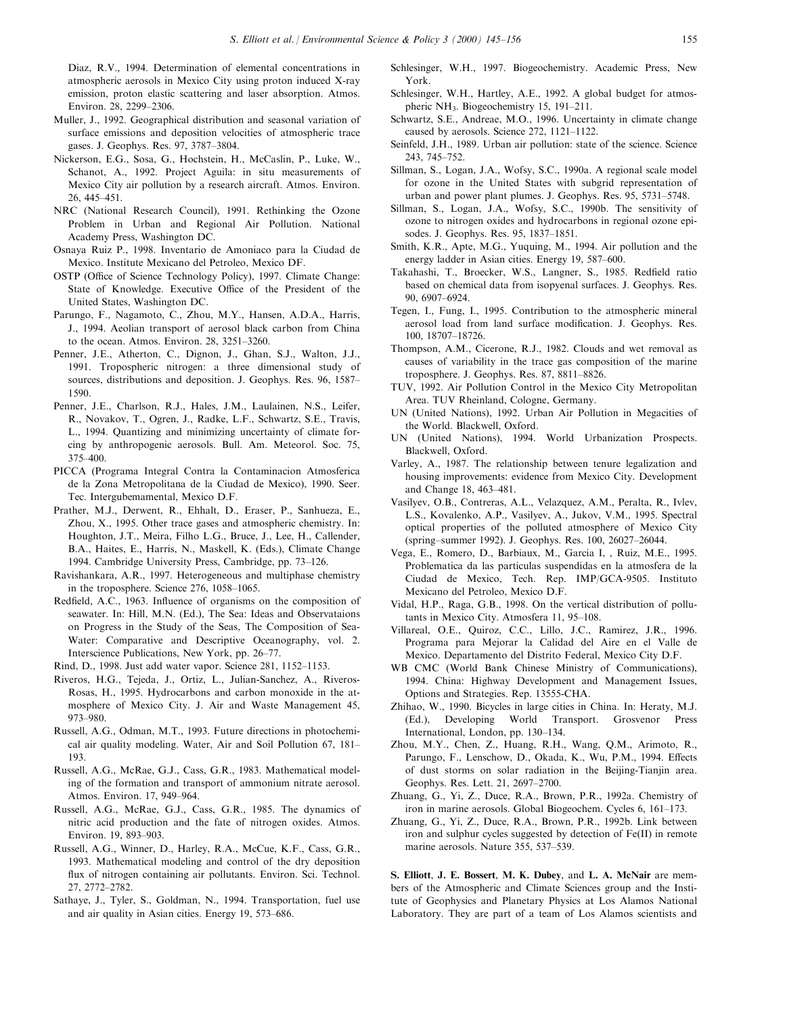Diaz, R.V., 1994. Determination of elemental concentrations in atmospheric aerosols in Mexico City using proton induced X-ray emission, proton elastic scattering and laser absorption. Atmos. Environ. 28, 2299-2306.

- Muller, J., 1992. Geographical distribution and seasonal variation of surface emissions and deposition velocities of atmospheric trace gases. J. Geophys. Res. 97, 3787-3804.
- Nickerson, E.G., Sosa, G., Hochstein, H., McCaslin, P., Luke, W., Schanot, A., 1992. Project Aguila: in situ measurements of Mexico City air pollution by a research aircraft. Atmos. Environ. 26, 445±451.
- NRC (National Research Council), 1991. Rethinking the Ozone Problem in Urban and Regional Air Pollution. National Academy Press, Washington DC.
- Osnaya Ruiz P., 1998. Inventario de Amoniaco para la Ciudad de Mexico. Institute Mexicano del Petroleo, Mexico DF.
- OSTP (Office of Science Technology Policy), 1997. Climate Change: State of Knowledge. Executive Office of the President of the United States, Washington DC.
- Parungo, F., Nagamoto, C., Zhou, M.Y., Hansen, A.D.A., Harris, J., 1994. Aeolian transport of aerosol black carbon from China to the ocean. Atmos. Environ.  $28$ ,  $3251-3260$ .
- Penner, J.E., Atherton, C., Dignon, J., Ghan, S.J., Walton, J.J., 1991. Tropospheric nitrogen: a three dimensional study of sources, distributions and deposition. J. Geophys. Res. 96, 1587-1590.
- Penner, J.E., Charlson, R.J., Hales, J.M., Laulainen, N.S., Leifer, R., Novakov, T., Ogren, J., Radke, L.F., Schwartz, S.E., Travis, L., 1994. Quantizing and minimizing uncertainty of climate forcing by anthropogenic aerosols. Bull. Am. Meteorol. Soc. 75, 375±400.
- PICCA (Programa Integral Contra la Contaminacion Atmosferica de la Zona Metropolitana de la Ciudad de Mexico), 1990. Seer. Tec. Intergubemamental, Mexico D.F.
- Prather, M.J., Derwent, R., Ehhalt, D., Eraser, P., Sanhueza, E., Zhou, X., 1995. Other trace gases and atmospheric chemistry. In: Houghton, J.T., Meira, Filho L.G., Bruce, J., Lee, H., Callender, B.A., Haites, E., Harris, N., Maskell, K. (Eds.), Climate Change 1994. Cambridge University Press, Cambridge, pp. 73-126.
- Ravishankara, A.R., 1997. Heterogeneous and multiphase chemistry in the troposphere. Science  $276$ ,  $1058-1065$ .
- Redfield, A.C., 1963. Influence of organisms on the composition of seawater. In: Hill, M.N. (Ed.), The Sea: Ideas and Observataions on Progress in the Study of the Seas, The Composition of Sea-Water: Comparative and Descriptive Oceanography, vol. 2. Interscience Publications, New York, pp. 26-77.
- Rind, D., 1998. Just add water vapor. Science 281, 1152-1153.
- Riveros, H.G., Tejeda, J., Ortiz, L., Julian-Sanchez, A., Riveros-Rosas, H., 1995. Hydrocarbons and carbon monoxide in the atmosphere of Mexico City. J. Air and Waste Management 45, 973±980.
- Russell, A.G., Odman, M.T., 1993. Future directions in photochemical air quality modeling. Water, Air and Soil Pollution 67, 181– 193.
- Russell, A.G., McRae, G.J., Cass, G.R., 1983. Mathematical modeling of the formation and transport of ammonium nitrate aerosol. Atmos. Environ. 17, 949-964.
- Russell, A.G., McRae, G.J., Cass, G.R., 1985. The dynamics of nitric acid production and the fate of nitrogen oxides. Atmos. Environ. 19, 893-903.
- Russell, A.G., Winner, D., Harley, R.A., McCue, K.F., Cass, G.R., 1993. Mathematical modeling and control of the dry deposition flux of nitrogen containing air pollutants. Environ. Sci. Technol. 27, 2772±2782.
- Sathaye, J., Tyler, S., Goldman, N., 1994. Transportation, fuel use and air quality in Asian cities. Energy 19, 573–686.
- Schlesinger, W.H., 1997. Biogeochemistry. Academic Press, New York.
- Schlesinger, W.H., Hartley, A.E., 1992. A global budget for atmospheric NH<sub>3</sub>. Biogeochemistry 15, 191-211.
- Schwartz, S.E., Andreae, M.O., 1996. Uncertainty in climate change caused by aerosols. Science 272, 1121-1122.
- Seinfeld, J.H., 1989. Urban air pollution: state of the science. Science 243, 745±752.
- Sillman, S., Logan, J.A., Wofsy, S.C., 1990a. A regional scale model for ozone in the United States with subgrid representation of urban and power plant plumes. J. Geophys. Res. 95, 5731-5748.
- Sillman, S., Logan, J.A., Wofsy, S.C., 1990b. The sensitivity of ozone to nitrogen oxides and hydrocarbons in regional ozone episodes. J. Geophys. Res. 95, 1837-1851.
- Smith, K.R., Apte, M.G., Yuquing, M., 1994. Air pollution and the energy ladder in Asian cities. Energy 19, 587-600.
- Takahashi, T., Broecker, W.S., Langner, S., 1985. Redfield ratio based on chemical data from isopyenal surfaces. J. Geophys. Res. 90, 6907-6924.
- Tegen, I., Fung, I., 1995. Contribution to the atmospheric mineral aerosol load from land surface modification. J. Geophys. Res. 100, 18707±18726.
- Thompson, A.M., Cicerone, R.J., 1982. Clouds and wet removal as causes of variability in the trace gas composition of the marine troposphere. J. Geophys. Res. 87, 8811-8826.
- TUV, 1992. Air Pollution Control in the Mexico City Metropolitan Area. TUV Rheinland, Cologne, Germany.
- UN (United Nations), 1992. Urban Air Pollution in Megacities of the World. Blackwell, Oxford.
- UN (United Nations), 1994. World Urbanization Prospects. Blackwell, Oxford.
- Varley, A., 1987. The relationship between tenure legalization and housing improvements: evidence from Mexico City. Development and Change 18, 463-481.
- Vasilyev, O.B., Contreras, A.L., Velazquez, A.M., Peralta, R., Ivlev, L.S., Kovalenko, A.P., Vasilyev, A., Jukov, V.M., 1995. Spectral optical properties of the polluted atmosphere of Mexico City (spring-summer 1992). J. Geophys. Res. 100, 26027-26044.
- Vega, E., Romero, D., Barbiaux, M., Garcia I, , Ruiz, M.E., 1995. Problematica da las particulas suspendidas en la atmosfera de la Ciudad de Mexico, Tech. Rep. IMP/GCA-9505. Instituto Mexicano del Petroleo, Mexico D.F.
- Vidal, H.P., Raga, G.B., 1998. On the vertical distribution of pollutants in Mexico City. Atmosfera 11, 95-108.
- Villareal, O.E., Quiroz, C.C., Lillo, J.C., Ramirez, J.R., 1996. Programa para Mejorar la Calidad del Aire en el Valle de Mexico. Departamento del Distrito Federal, Mexico City D.F.
- WB CMC (World Bank Chinese Ministry of Communications), 1994. China: Highway Development and Management Issues, Options and Strategies. Rep. 13555-CHA.
- Zhihao, W., 1990. Bicycles in large cities in China. In: Heraty, M.J. (Ed.), Developing World Transport. Grosvenor Press International, London, pp. 130-134.
- Zhou, M.Y., Chen, Z., Huang, R.H., Wang, Q.M., Arimoto, R., Parungo, F., Lenschow, D., Okada, K., Wu, P.M., 1994. Effects of dust storms on solar radiation in the Beijing-Tianjin area. Geophys. Res. Lett. 21, 2697-2700.
- Zhuang, G., Yi, Z., Duce, R.A., Brown, P.R., 1992a. Chemistry of iron in marine aerosols. Global Biogeochem. Cycles 6, 161-173.
- Zhuang, G., Yi, Z., Duce, R.A., Brown, P.R., 1992b. Link between iron and sulphur cycles suggested by detection of Fe(II) in remote marine aerosols. Nature 355, 537-539.

S. Elliott, J. E. Bossert, M. K. Dubey, and L. A. McNair are members of the Atmospheric and Climate Sciences group and the Institute of Geophysics and Planetary Physics at Los Alamos National Laboratory. They are part of a team of Los Alamos scientists and